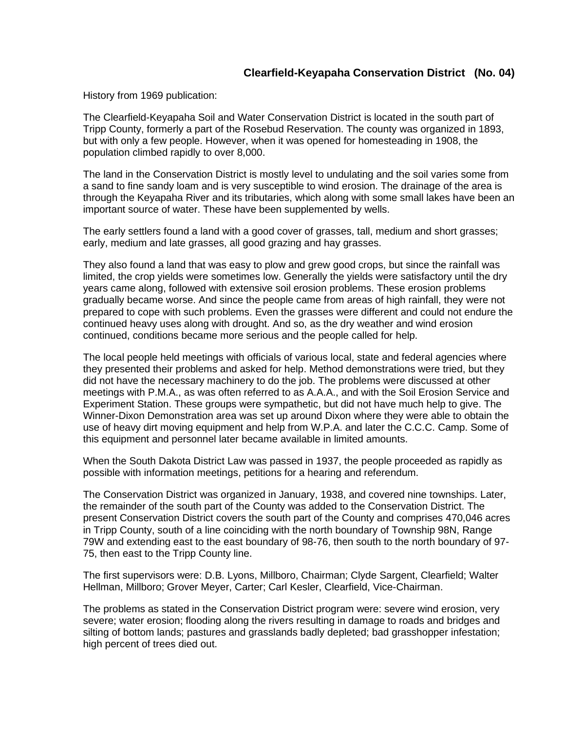History from 1969 publication:

The Clearfield-Keyapaha Soil and Water Conservation District is located in the south part of Tripp County, formerly a part of the Rosebud Reservation. The county was organized in 1893, but with only a few people. However, when it was opened for homesteading in 1908, the population climbed rapidly to over 8,000.

The land in the Conservation District is mostly level to undulating and the soil varies some from a sand to fine sandy loam and is very susceptible to wind erosion. The drainage of the area is through the Keyapaha River and its tributaries, which along with some small lakes have been an important source of water. These have been supplemented by wells.

The early settlers found a land with a good cover of grasses, tall, medium and short grasses; early, medium and late grasses, all good grazing and hay grasses.

They also found a land that was easy to plow and grew good crops, but since the rainfall was limited, the crop yields were sometimes low. Generally the yields were satisfactory until the dry years came along, followed with extensive soil erosion problems. These erosion problems gradually became worse. And since the people came from areas of high rainfall, they were not prepared to cope with such problems. Even the grasses were different and could not endure the continued heavy uses along with drought. And so, as the dry weather and wind erosion continued, conditions became more serious and the people called for help.

The local people held meetings with officials of various local, state and federal agencies where they presented their problems and asked for help. Method demonstrations were tried, but they did not have the necessary machinery to do the job. The problems were discussed at other meetings with P.M.A., as was often referred to as A.A.A., and with the Soil Erosion Service and Experiment Station. These groups were sympathetic, but did not have much help to give. The Winner-Dixon Demonstration area was set up around Dixon where they were able to obtain the use of heavy dirt moving equipment and help from W.P.A. and later the C.C.C. Camp. Some of this equipment and personnel later became available in limited amounts.

When the South Dakota District Law was passed in 1937, the people proceeded as rapidly as possible with information meetings, petitions for a hearing and referendum.

The Conservation District was organized in January, 1938, and covered nine townships. Later, the remainder of the south part of the County was added to the Conservation District. The present Conservation District covers the south part of the County and comprises 470,046 acres in Tripp County, south of a line coinciding with the north boundary of Township 98N, Range 79W and extending east to the east boundary of 98-76, then south to the north boundary of 97- 75, then east to the Tripp County line.

The first supervisors were: D.B. Lyons, Millboro, Chairman; Clyde Sargent, Clearfield; Walter Hellman, Millboro; Grover Meyer, Carter; Carl Kesler, Clearfield, Vice-Chairman.

The problems as stated in the Conservation District program were: severe wind erosion, very severe; water erosion; flooding along the rivers resulting in damage to roads and bridges and silting of bottom lands; pastures and grasslands badly depleted; bad grasshopper infestation; high percent of trees died out.